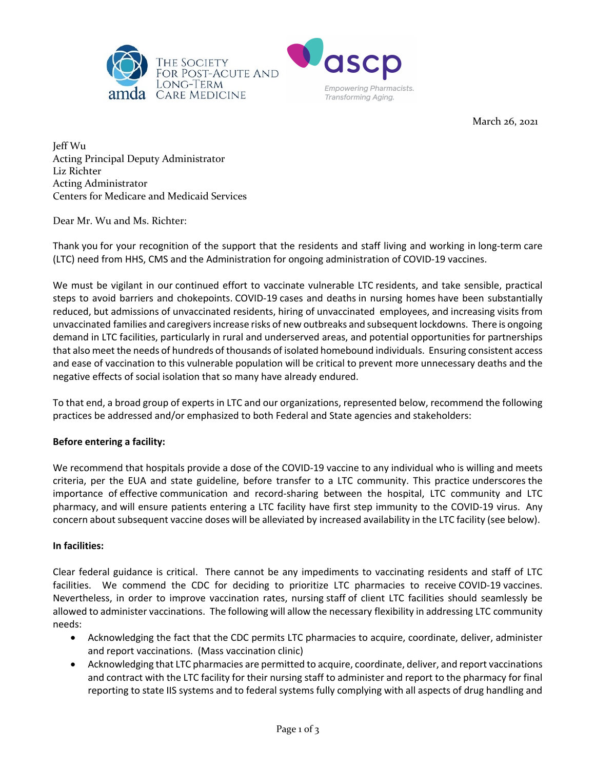



March 26, 2021

Jeff Wu Acting Principal Deputy Administrator Liz Richter Acting Administrator Centers for Medicare and Medicaid Services

Dear Mr. Wu and Ms. Richter:

Thank you for your recognition of the support that the residents and staff living and working in long-term care (LTC) need from HHS, CMS and the Administration for ongoing administration of COVID-19 vaccines.

We must be vigilant in our continued effort to vaccinate vulnerable LTC residents, and take sensible, practical steps to avoid barriers and chokepoints. COVID-19 cases and deaths in nursing homes have been substantially reduced, but admissions of unvaccinated residents, hiring of unvaccinated employees, and increasing visits from unvaccinated families and caregivers increase risks of new outbreaks and subsequent lockdowns. There is ongoing demand in LTC facilities, particularly in rural and underserved areas, and potential opportunities for partnerships that also meet the needs of hundreds of thousands of isolated homebound individuals. Ensuring consistent access and ease of vaccination to this vulnerable population will be critical to prevent more unnecessary deaths and the negative effects of social isolation that so many have already endured.

To that end, a broad group of experts in LTC and our organizations, represented below, recommend the following practices be addressed and/or emphasized to both Federal and State agencies and stakeholders:

## **Before entering a facility:**

We recommend that hospitals provide a dose of the COVID-19 vaccine to any individual who is willing and meets criteria, per the EUA and state guideline, before transfer to a LTC community. This practice underscores the importance of effective communication and record-sharing between the hospital, LTC community and LTC pharmacy, and will ensure patients entering a LTC facility have first step immunity to the COVID-19 virus. Any concern about subsequent vaccine doses will be alleviated by increased availability in the LTC facility (see below).

## **In facilities:**

Clear federal guidance is critical. There cannot be any impediments to vaccinating residents and staff of LTC facilities. We commend the CDC for deciding to prioritize LTC pharmacies to receive COVID-19 vaccines. Nevertheless, in order to improve vaccination rates, nursing staff of client LTC facilities should seamlessly be allowed to administer vaccinations. The following will allow the necessary flexibility in addressing LTC community needs:

- Acknowledging the fact that the CDC permits LTC pharmacies to acquire, coordinate, deliver, administer and report vaccinations. (Mass vaccination clinic)
- Acknowledging that LTC pharmacies are permitted to acquire, coordinate, deliver, and report vaccinations and contract with the LTC facility for their nursing staff to administer and report to the pharmacy for final reporting to state IIS systems and to federal systems fully complying with all aspects of drug handling and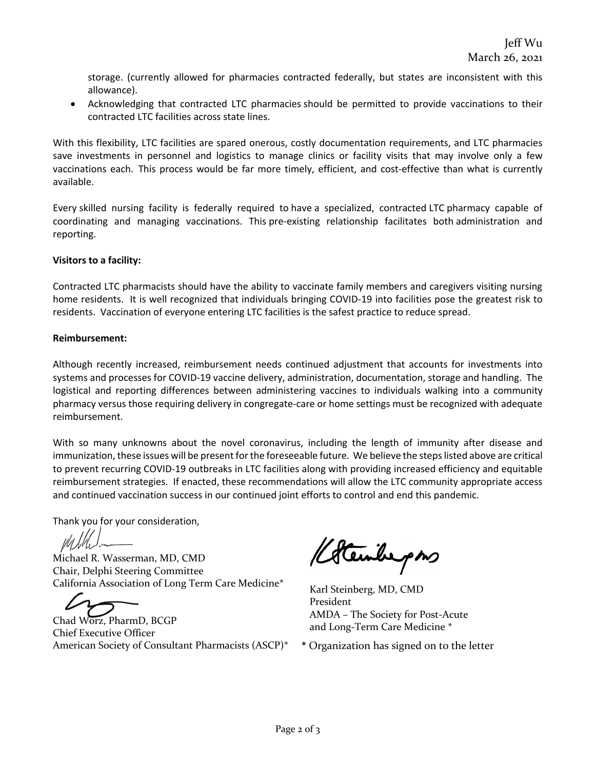storage. (currently allowed for pharmacies contracted federally, but states are inconsistent with this allowance).

• Acknowledging that contracted LTC pharmacies should be permitted to provide vaccinations to their contracted LTC facilities across state lines.

With this flexibility, LTC facilities are spared onerous, costly documentation requirements, and LTC pharmacies save investments in personnel and logistics to manage clinics or facility visits that may involve only a few vaccinations each. This process would be far more timely, efficient, and cost-effective than what is currently available.

Every skilled nursing facility is federally required to have a specialized, contracted LTC pharmacy capable of coordinating and managing vaccinations. This pre-existing relationship facilitates both administration and reporting.

## **Visitors to a facility:**

Contracted LTC pharmacists should have the ability to vaccinate family members and caregivers visiting nursing home residents. It is well recognized that individuals bringing COVID-19 into facilities pose the greatest risk to residents. Vaccination of everyone entering LTC facilities is the safest practice to reduce spread.

## **Reimbursement:**

Although recently increased, reimbursement needs continued adjustment that accounts for investments into systems and processes for COVID-19 vaccine delivery, administration, documentation, storage and handling. The logistical and reporting differences between administering vaccines to individuals walking into a community pharmacy versus those requiring delivery in congregate-care or home settings must be recognized with adequate reimbursement.

With so many unknowns about the novel coronavirus, including the length of immunity after disease and immunization, these issues will be present for the foreseeable future. We believe the steps listed above are critical to prevent recurring COVID-19 outbreaks in LTC facilities along with providing increased efficiency and equitable reimbursement strategies. If enacted, these recommendations will allow the LTC community appropriate access and continued vaccination success in our continued joint efforts to control and end this pandemic.

Thank you for your consideration,

Michael R. Wasserman, MD, CMD Chair, Delphi Steering Committee California Association of Long Term Care Medicine\*

Chad Worz, PharmD, BCGP Chief Executive Officer American Society of Consultant Pharmacists (ASCP)\*

Kotenberpons

Karl Steinberg, MD, CMD President AMDA – The Society for Post-Acute and Long-Term Care Medicine \*

\* Organization has signed on to the letter